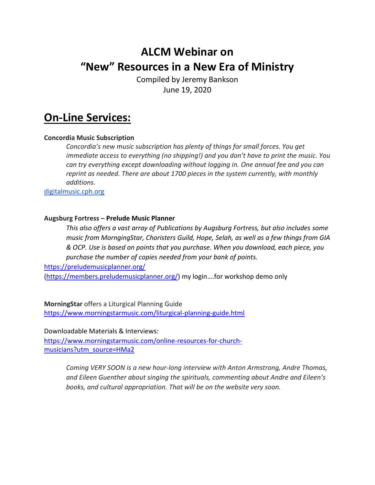# **ALCM Webinar on "New" Resources in a New Era of Ministry**

Compiled by Jeremy Bankson June 19, 2020

## **On-Line Services:**

## **Concordia Music Subscription**

*Concordia's new music subscription has plenty of things for small forces. You get immediate access to everything (no shipping!) and you don't have to print the music. You can try everything except downloading without logging in. One annual fee and you can reprint as needed. There are about 1700 pieces in the system currently, with monthly additions.*

[digitalmusic.cph.org](http://digitalmusic.cph.org/)

#### **Augsburg Fortress – Prelude Music Planner**

*This also offers a vast array of Publications by Augsburg Fortress, but also includes some music from MorngingStar, Choristers Guild, Hope, Selah, as well as a few things from GIA & OCP. Use is based on points that you purchase. When you download, each piece, you purchase the number of copies needed from your bank of points.*

<https://preludemusicplanner.org/>

[\(https://members.preludemusicplanner.org/](https://members.preludemusicplanner.org/)) my login….for workshop demo only

**MorningStar** offers a Liturgical Planning Guide <https://www.morningstarmusic.com/liturgical-planning-guide.html>

Downloadable Materials & Interviews:

[https://www.morningstarmusic.com/online-resources-for-church](https://www.morningstarmusic.com/online-resources-for-church-musicians?utm_source=HMa2)[musicians?utm\\_source=HMa2](https://www.morningstarmusic.com/online-resources-for-church-musicians?utm_source=HMa2)

> *Coming VERY SOON is a new hour-long interview with Anton Armstrong, Andre Thomas, and Eileen Guenther about singing the spirituals, commenting about Andre and Eileen's books, and cultural appropriation. That will be on the website very soon.*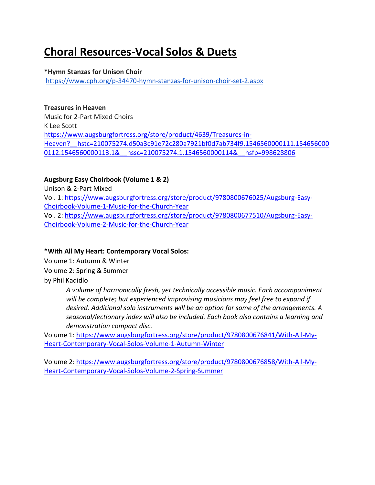# **Choral Resources-Vocal Solos & Duets**

### **\*Hymn Stanzas for Unison Choir**

<https://www.cph.org/p-34470-hymn-stanzas-for-unison-choir-set-2.aspx>

## **Treasures in Heaven**

Music for 2-Part Mixed Choirs K Lee Scott [https://www.augsburgfortress.org/store/product/4639/Treasures-in-](https://www.augsburgfortress.org/store/product/4639/Treasures-in-Heaven?__hstc=210075274.d50a3c91e72c280a7921bf0d7ab734f9.1546560000111.1546560000112.1546560000113.1&__hssc=210075274.1.1546560000114&__hsfp=998628806)[Heaven?\\_\\_hstc=210075274.d50a3c91e72c280a7921bf0d7ab734f9.1546560000111.154656000](https://www.augsburgfortress.org/store/product/4639/Treasures-in-Heaven?__hstc=210075274.d50a3c91e72c280a7921bf0d7ab734f9.1546560000111.1546560000112.1546560000113.1&__hssc=210075274.1.1546560000114&__hsfp=998628806) 0112.1546560000113.1& hssc=210075274.1.1546560000114& hsfp=998628806

## **Augsburg Easy Choirbook (Volume 1 & 2)**

Unison & 2-Part Mixed Vol. 1[: https://www.augsburgfortress.org/store/product/9780800676025/Augsburg-Easy-](https://www.augsburgfortress.org/store/product/9780800676025/Augsburg-Easy-Choirbook-Volume-1-Music-for-the-Church-Year)[Choirbook-Volume-1-Music-for-the-Church-Year](https://www.augsburgfortress.org/store/product/9780800676025/Augsburg-Easy-Choirbook-Volume-1-Music-for-the-Church-Year) Vol. 2[: https://www.augsburgfortress.org/store/product/9780800677510/Augsburg-Easy-](https://www.augsburgfortress.org/store/product/9780800677510/Augsburg-Easy-Choirbook-Volume-2-Music-for-the-Church-Year)[Choirbook-Volume-2-Music-for-the-Church-Year](https://www.augsburgfortress.org/store/product/9780800677510/Augsburg-Easy-Choirbook-Volume-2-Music-for-the-Church-Year)

## **\*With All My Heart: Contemporary Vocal Solos:**

Volume 1: Autumn & Winter

Volume 2: Spring & Summer

by [Phil Kadidlo](https://www.augsburgfortress.org/store/search?ss=Phil+Kadidlo)

*A volume of harmonically fresh, yet technically accessible music. Each accompaniment will be complete; but experienced improvising musicians may feel free to expand if desired. Additional solo instruments will be an option for some of the arrangements. A seasonal/lectionary index will also be included. Each book also contains a learning and demonstration compact disc.*

Volume 1: [https://www.augsburgfortress.org/store/product/9780800676841/With-All-My-](https://www.augsburgfortress.org/store/product/9780800676841/With-All-My-Heart-Contemporary-Vocal-Solos-Volume-1-Autumn-Winter)[Heart-Contemporary-Vocal-Solos-Volume-1-Autumn-Winter](https://www.augsburgfortress.org/store/product/9780800676841/With-All-My-Heart-Contemporary-Vocal-Solos-Volume-1-Autumn-Winter)

Volume 2: [https://www.augsburgfortress.org/store/product/9780800676858/With-All-My-](https://www.augsburgfortress.org/store/product/9780800676858/With-All-My-Heart-Contemporary-Vocal-Solos-Volume-2-Spring-Summer)[Heart-Contemporary-Vocal-Solos-Volume-2-Spring-Summer](https://www.augsburgfortress.org/store/product/9780800676858/With-All-My-Heart-Contemporary-Vocal-Solos-Volume-2-Spring-Summer)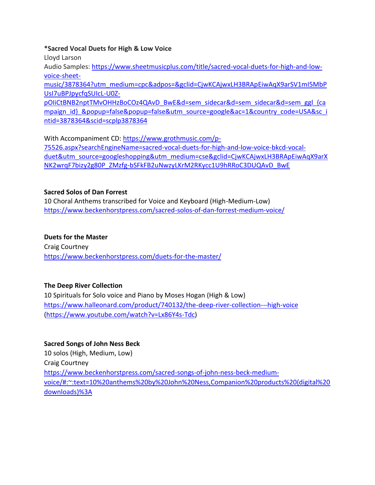#### **\*Sacred Vocal Duets for High & Low Voice**

Lloyd Larson

Audio Samples: [https://www.sheetmusicplus.com/title/sacred-vocal-duets-for-high-and-low](https://www.sheetmusicplus.com/title/sacred-vocal-duets-for-high-and-low-voice-sheet-music/3878364?utm_medium=cpc&adpos=&gclid=CjwKCAjwxLH3BRApEiwAqX9arSV1mI5MbPUsI7uBPJpycfqSUIcL-U0Z-pOIiCtBNB2nptTMvOHHzBoCOz4QAvD_BwE&d=sem_sidecar&d=sem_sidecar&d=sem_ggl_%7bcampaign_id%7d_&popup=false&popup=false&utm_source=google&ac=1&country_code=USA&sc_intid=3878364&scid=scplp3878364)[voice-sheet-](https://www.sheetmusicplus.com/title/sacred-vocal-duets-for-high-and-low-voice-sheet-music/3878364?utm_medium=cpc&adpos=&gclid=CjwKCAjwxLH3BRApEiwAqX9arSV1mI5MbPUsI7uBPJpycfqSUIcL-U0Z-pOIiCtBNB2nptTMvOHHzBoCOz4QAvD_BwE&d=sem_sidecar&d=sem_sidecar&d=sem_ggl_%7bcampaign_id%7d_&popup=false&popup=false&utm_source=google&ac=1&country_code=USA&sc_intid=3878364&scid=scplp3878364)

[music/3878364?utm\\_medium=cpc&adpos=&gclid=CjwKCAjwxLH3BRApEiwAqX9arSV1mI5MbP](https://www.sheetmusicplus.com/title/sacred-vocal-duets-for-high-and-low-voice-sheet-music/3878364?utm_medium=cpc&adpos=&gclid=CjwKCAjwxLH3BRApEiwAqX9arSV1mI5MbPUsI7uBPJpycfqSUIcL-U0Z-pOIiCtBNB2nptTMvOHHzBoCOz4QAvD_BwE&d=sem_sidecar&d=sem_sidecar&d=sem_ggl_%7bcampaign_id%7d_&popup=false&popup=false&utm_source=google&ac=1&country_code=USA&sc_intid=3878364&scid=scplp3878364) [UsI7uBPJpycfqSUIcL-U0Z-](https://www.sheetmusicplus.com/title/sacred-vocal-duets-for-high-and-low-voice-sheet-music/3878364?utm_medium=cpc&adpos=&gclid=CjwKCAjwxLH3BRApEiwAqX9arSV1mI5MbPUsI7uBPJpycfqSUIcL-U0Z-pOIiCtBNB2nptTMvOHHzBoCOz4QAvD_BwE&d=sem_sidecar&d=sem_sidecar&d=sem_ggl_%7bcampaign_id%7d_&popup=false&popup=false&utm_source=google&ac=1&country_code=USA&sc_intid=3878364&scid=scplp3878364)

[pOIiCtBNB2nptTMvOHHzBoCOz4QAvD\\_BwE&d=sem\\_sidecar&d=sem\\_sidecar&d=sem\\_ggl\\_{ca](https://www.sheetmusicplus.com/title/sacred-vocal-duets-for-high-and-low-voice-sheet-music/3878364?utm_medium=cpc&adpos=&gclid=CjwKCAjwxLH3BRApEiwAqX9arSV1mI5MbPUsI7uBPJpycfqSUIcL-U0Z-pOIiCtBNB2nptTMvOHHzBoCOz4QAvD_BwE&d=sem_sidecar&d=sem_sidecar&d=sem_ggl_%7bcampaign_id%7d_&popup=false&popup=false&utm_source=google&ac=1&country_code=USA&sc_intid=3878364&scid=scplp3878364) [mpaign\\_id}\\_&popup=false&popup=false&utm\\_source=google&ac=1&country\\_code=USA&sc\\_i](https://www.sheetmusicplus.com/title/sacred-vocal-duets-for-high-and-low-voice-sheet-music/3878364?utm_medium=cpc&adpos=&gclid=CjwKCAjwxLH3BRApEiwAqX9arSV1mI5MbPUsI7uBPJpycfqSUIcL-U0Z-pOIiCtBNB2nptTMvOHHzBoCOz4QAvD_BwE&d=sem_sidecar&d=sem_sidecar&d=sem_ggl_%7bcampaign_id%7d_&popup=false&popup=false&utm_source=google&ac=1&country_code=USA&sc_intid=3878364&scid=scplp3878364) [ntid=3878364&scid=scplp3878364](https://www.sheetmusicplus.com/title/sacred-vocal-duets-for-high-and-low-voice-sheet-music/3878364?utm_medium=cpc&adpos=&gclid=CjwKCAjwxLH3BRApEiwAqX9arSV1mI5MbPUsI7uBPJpycfqSUIcL-U0Z-pOIiCtBNB2nptTMvOHHzBoCOz4QAvD_BwE&d=sem_sidecar&d=sem_sidecar&d=sem_ggl_%7bcampaign_id%7d_&popup=false&popup=false&utm_source=google&ac=1&country_code=USA&sc_intid=3878364&scid=scplp3878364)

With Accompaniment CD: [https://www.grothmusic.com/p-](https://www.grothmusic.com/p-75526.aspx?searchEngineName=sacred-vocal-duets-for-high-and-low-voice-bkcd-vocal-duet&utm_source=googleshopping&utm_medium=cse&gclid=CjwKCAjwxLH3BRApEiwAqX9arXNK2wrqF7bizy2g80P_ZMzfg-bSFkFB2uNwzyLKrM2RKycc1U9hRRoC3DUQAvD_BwE)[75526.aspx?searchEngineName=sacred-vocal-duets-for-high-and-low-voice-bkcd-vocal](https://www.grothmusic.com/p-75526.aspx?searchEngineName=sacred-vocal-duets-for-high-and-low-voice-bkcd-vocal-duet&utm_source=googleshopping&utm_medium=cse&gclid=CjwKCAjwxLH3BRApEiwAqX9arXNK2wrqF7bizy2g80P_ZMzfg-bSFkFB2uNwzyLKrM2RKycc1U9hRRoC3DUQAvD_BwE)[duet&utm\\_source=googleshopping&utm\\_medium=cse&gclid=CjwKCAjwxLH3BRApEiwAqX9arX](https://www.grothmusic.com/p-75526.aspx?searchEngineName=sacred-vocal-duets-for-high-and-low-voice-bkcd-vocal-duet&utm_source=googleshopping&utm_medium=cse&gclid=CjwKCAjwxLH3BRApEiwAqX9arXNK2wrqF7bizy2g80P_ZMzfg-bSFkFB2uNwzyLKrM2RKycc1U9hRRoC3DUQAvD_BwE) [NK2wrqF7bizy2g80P\\_ZMzfg-bSFkFB2uNwzyLKrM2RKycc1U9hRRoC3DUQAvD\\_BwE](https://www.grothmusic.com/p-75526.aspx?searchEngineName=sacred-vocal-duets-for-high-and-low-voice-bkcd-vocal-duet&utm_source=googleshopping&utm_medium=cse&gclid=CjwKCAjwxLH3BRApEiwAqX9arXNK2wrqF7bizy2g80P_ZMzfg-bSFkFB2uNwzyLKrM2RKycc1U9hRRoC3DUQAvD_BwE)

## **Sacred Solos of Dan Forrest**

10 Choral Anthems transcribed for Voice and Keyboard (High-Medium-Low) <https://www.beckenhorstpress.com/sacred-solos-of-dan-forrest-medium-voice/>

## **Duets for the Master**

Craig Courtney <https://www.beckenhorstpress.com/duets-for-the-master/>

## **The Deep River Collection**

10 Spirituals for Solo voice and Piano by Moses Hogan (High & Low) <https://www.halleonard.com/product/740132/the-deep-river-collection---high-voice> [\(https://www.youtube.com/watch?v=Lx86Y4s-Tdc\)](https://www.youtube.com/watch?v=Lx86Y4s-Tdc)

## **Sacred Songs of John Ness Beck**

10 solos (High, Medium, Low) Craig Courtney [https://www.beckenhorstpress.com/sacred-songs-of-john-ness-beck-medium](https://www.beckenhorstpress.com/sacred-songs-of-john-ness-beck-medium-voice/#:~:text=10%20anthems%20by%20John%20Ness,Companion%20products%20(digital%20downloads)%3A)[voice/#:~:text=10%20anthems%20by%20John%20Ness,Companion%20products%20\(digital%20](https://www.beckenhorstpress.com/sacred-songs-of-john-ness-beck-medium-voice/#:~:text=10%20anthems%20by%20John%20Ness,Companion%20products%20(digital%20downloads)%3A) [downloads\)%3A](https://www.beckenhorstpress.com/sacred-songs-of-john-ness-beck-medium-voice/#:~:text=10%20anthems%20by%20John%20Ness,Companion%20products%20(digital%20downloads)%3A)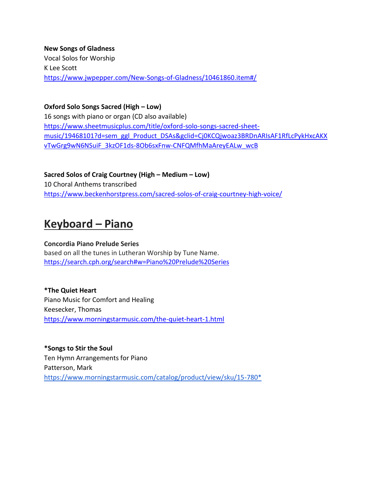**New Songs of Gladness** Vocal Solos for Worship K Lee Scott <https://www.jwpepper.com/New-Songs-of-Gladness/10461860.item#/>

**Oxford Solo Songs Sacred (High – Low)**

16 songs with piano or organ (CD also available) [https://www.sheetmusicplus.com/title/oxford-solo-songs-sacred-sheet](https://www.sheetmusicplus.com/title/oxford-solo-songs-sacred-sheet-music/19468101?d=sem_ggl_Product_DSAs&gclid=Cj0KCQjwoaz3BRDnARIsAF1RfLcPykHxcAKXvTwGrg9wN6NSuiF_3kzOF1ds-8Ob6sxFnw-CNFQMfhMaAreyEALw_wcB)[music/19468101?d=sem\\_ggl\\_Product\\_DSAs&gclid=Cj0KCQjwoaz3BRDnARIsAF1RfLcPykHxcAKX](https://www.sheetmusicplus.com/title/oxford-solo-songs-sacred-sheet-music/19468101?d=sem_ggl_Product_DSAs&gclid=Cj0KCQjwoaz3BRDnARIsAF1RfLcPykHxcAKXvTwGrg9wN6NSuiF_3kzOF1ds-8Ob6sxFnw-CNFQMfhMaAreyEALw_wcB) [vTwGrg9wN6NSuiF\\_3kzOF1ds-8Ob6sxFnw-CNFQMfhMaAreyEALw\\_wcB](https://www.sheetmusicplus.com/title/oxford-solo-songs-sacred-sheet-music/19468101?d=sem_ggl_Product_DSAs&gclid=Cj0KCQjwoaz3BRDnARIsAF1RfLcPykHxcAKXvTwGrg9wN6NSuiF_3kzOF1ds-8Ob6sxFnw-CNFQMfhMaAreyEALw_wcB)

**Sacred Solos of Craig Courtney (High – Medium – Low)** 10 Choral Anthems transcribed <https://www.beckenhorstpress.com/sacred-solos-of-craig-courtney-high-voice/>

## **Keyboard – Piano**

#### **Concordia Piano Prelude Series** based on all the tunes in Lutheran Worship by Tune Name. <https://search.cph.org/search#w=Piano%20Prelude%20Series>

**\*The Quiet Heart** Piano Music for Comfort and Healing Keesecker, Thomas <https://www.morningstarmusic.com/the-quiet-heart-1.html>

**\*Songs to Stir the Soul** Ten Hymn Arrangements for Piano Patterson, Mark [https://www.morningstarmusic.com/catalog/product/view/sku/15-780\\*](https://www.morningstarmusic.com/catalog/product/view/sku/15-780*)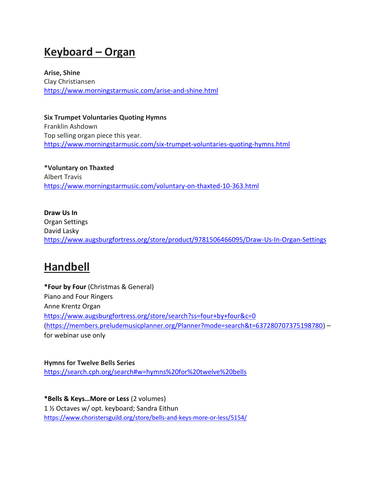# **Keyboard – Organ**

**Arise, Shine**  Clay Christiansen <https://www.morningstarmusic.com/arise-and-shine.html>

**Six Trumpet Voluntaries Quoting Hymns** Franklin Ashdown Top selling organ piece this year. <https://www.morningstarmusic.com/six-trumpet-voluntaries-quoting-hymns.html>

**\*Voluntary on Thaxted** Albert Travis <https://www.morningstarmusic.com/voluntary-on-thaxted-10-363.html>

**Draw Us In** Organ Settings David Lasky <https://www.augsburgfortress.org/store/product/9781506466095/Draw-Us-In-Organ-Settings>

## **Handbell**

**\*Four by Four** (Christmas & General) Piano and Four Ringers Anne Krentz Organ <https://www.augsburgfortress.org/store/search?ss=four+by+four&c=0> [\(https://members.preludemusicplanner.org/Planner?mode=search&t=637280707375198780\)](https://members.preludemusicplanner.org/Planner?mode=search&t=637280707375198780) – for webinar use only

**Hymns for Twelve Bells Series** <https://search.cph.org/search#w=hymns%20for%20twelve%20bells>

**\*Bells & Keys…More or Less** (2 volumes) 1 ½ Octaves w/ opt. keyboard; Sandra Eithun <https://www.choristersguild.org/store/bells-and-keys-more-or-less/5154/>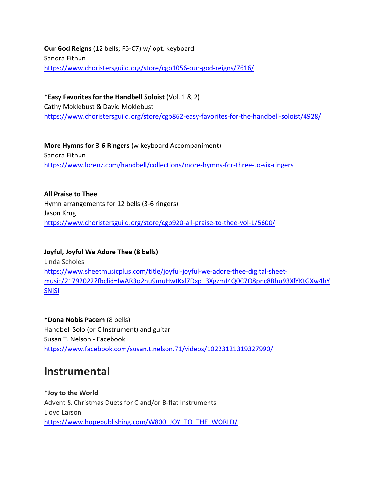**Our God Reigns** (12 bells; F5-C7) w/ opt. keyboard Sandra Eithun <https://www.choristersguild.org/store/cgb1056-our-god-reigns/7616/>

**\*Easy Favorites for the Handbell Soloist** (Vol. 1 & 2) Cathy Moklebust & David Moklebust <https://www.choristersguild.org/store/cgb862-easy-favorites-for-the-handbell-soloist/4928/>

**More Hymns for 3-6 Ringers** (w keyboard Accompaniment) Sandra Eithun <https://www.lorenz.com/handbell/collections/more-hymns-for-three-to-six-ringers>

**All Praise to Thee** Hymn arrangements for 12 bells (3-6 ringers) Jason Krug <https://www.choristersguild.org/store/cgb920-all-praise-to-thee-vol-1/5600/>

**Joyful, Joyful We Adore Thee (8 bells)** Linda Scholes

[https://www.sheetmusicplus.com/title/joyful-joyful-we-adore-thee-digital-sheet](https://www.sheetmusicplus.com/title/joyful-joyful-we-adore-thee-digital-sheet-music/21792022?fbclid=IwAR3o2hu9muHwtKxl7Dxp_3XgzmJ4Q0C7O8pnc8Bhu93XlYKtGXw4hYSNjSI)[music/21792022?fbclid=IwAR3o2hu9muHwtKxl7Dxp\\_3XgzmJ4Q0C7O8pnc8Bhu93XlYKtGXw4hY](https://www.sheetmusicplus.com/title/joyful-joyful-we-adore-thee-digital-sheet-music/21792022?fbclid=IwAR3o2hu9muHwtKxl7Dxp_3XgzmJ4Q0C7O8pnc8Bhu93XlYKtGXw4hYSNjSI) [SNjSI](https://www.sheetmusicplus.com/title/joyful-joyful-we-adore-thee-digital-sheet-music/21792022?fbclid=IwAR3o2hu9muHwtKxl7Dxp_3XgzmJ4Q0C7O8pnc8Bhu93XlYKtGXw4hYSNjSI)

**\*Dona Nobis Pacem** (8 bells) Handbell Solo (or C Instrument) and guitar [Susan T. Nelson](https://www.facebook.com/susan.t.nelson.71?eid=ARBHYZAIzWpZuYEQjiXpap441gKFeK6Jzz1vvM9qM2ICjmWT3VyxKowBoBd2KZcBGI74mkykdPgJBUgK) - Facebook <https://www.facebook.com/susan.t.nelson.71/videos/10223121319327990/>

## **Instrumental**

**\*Joy to the World** Advent & Christmas Duets for C and/or B-flat Instruments Lloyd Larson [https://www.hopepublishing.com/W800\\_JOY\\_TO\\_THE\\_WORLD/](https://www.hopepublishing.com/W800_JOY_TO_THE_WORLD/)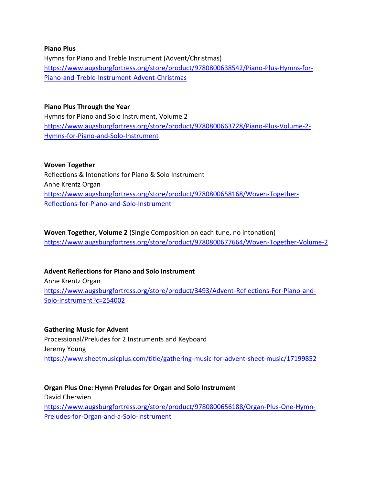#### **Piano Plus**

Hymns for Piano and Treble Instrument (Advent/Christmas) [https://www.augsburgfortress.org/store/product/9780800638542/Piano-Plus-Hymns-for-](https://www.augsburgfortress.org/store/product/9780800638542/Piano-Plus-Hymns-for-Piano-and-Treble-Instrument-Advent-Christmas)[Piano-and-Treble-Instrument-Advent-Christmas](https://www.augsburgfortress.org/store/product/9780800638542/Piano-Plus-Hymns-for-Piano-and-Treble-Instrument-Advent-Christmas)

#### **Piano Plus Through the Year**

Hymns for Piano and Solo Instrument, Volume 2 [https://www.augsburgfortress.org/store/product/9780800663728/Piano-Plus-Volume-2-](https://www.augsburgfortress.org/store/product/9780800663728/Piano-Plus-Volume-2-Hymns-for-Piano-and-Solo-Instrument) [Hymns-for-Piano-and-Solo-Instrument](https://www.augsburgfortress.org/store/product/9780800663728/Piano-Plus-Volume-2-Hymns-for-Piano-and-Solo-Instrument)

#### **Woven Together**

Reflections & Intonations for Piano & Solo Instrument Anne Krentz Organ [https://www.augsburgfortress.org/store/product/9780800658168/Woven-Together-](https://www.augsburgfortress.org/store/product/9780800658168/Woven-Together-Reflections-for-Piano-and-Solo-Instrument)[Reflections-for-Piano-and-Solo-Instrument](https://www.augsburgfortress.org/store/product/9780800658168/Woven-Together-Reflections-for-Piano-and-Solo-Instrument)

**Woven Together, Volume 2** (Single Composition on each tune, no intonation) <https://www.augsburgfortress.org/store/product/9780800677664/Woven-Together-Volume-2>

## **Advent Reflections for Piano and Solo Instrument**

Anne Krentz Organ [https://www.augsburgfortress.org/store/product/3493/Advent-Reflections-For-Piano-and-](https://www.augsburgfortress.org/store/product/3493/Advent-Reflections-For-Piano-and-Solo-Instrument?c=254002)[Solo-Instrument?c=254002](https://www.augsburgfortress.org/store/product/3493/Advent-Reflections-For-Piano-and-Solo-Instrument?c=254002)

#### **Gathering Music for Advent**

Processional/Preludes for 2 Instruments and Keyboard Jeremy Young <https://www.sheetmusicplus.com/title/gathering-music-for-advent-sheet-music/17199852>

**Organ Plus One: Hymn Preludes for Organ and Solo Instrument** David Cherwien [https://www.augsburgfortress.org/store/product/9780800656188/Organ-Plus-One-Hymn-](https://www.augsburgfortress.org/store/product/9780800656188/Organ-Plus-One-Hymn-Preludes-for-Organ-and-a-Solo-Instrument)[Preludes-for-Organ-and-a-Solo-Instrument](https://www.augsburgfortress.org/store/product/9780800656188/Organ-Plus-One-Hymn-Preludes-for-Organ-and-a-Solo-Instrument)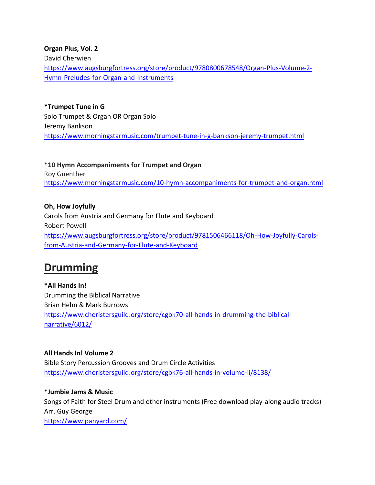**Organ Plus, Vol. 2**

David Cherwien

[https://www.augsburgfortress.org/store/product/9780800678548/Organ-Plus-Volume-2-](https://www.augsburgfortress.org/store/product/9780800678548/Organ-Plus-Volume-2-Hymn-Preludes-for-Organ-and-Instruments) [Hymn-Preludes-for-Organ-and-Instruments](https://www.augsburgfortress.org/store/product/9780800678548/Organ-Plus-Volume-2-Hymn-Preludes-for-Organ-and-Instruments)

**\*Trumpet Tune in G** Solo Trumpet & Organ OR Organ Solo Jeremy Bankson <https://www.morningstarmusic.com/trumpet-tune-in-g-bankson-jeremy-trumpet.html>

**\*10 Hymn Accompaniments for Trumpet and Organ** Roy Guenther <https://www.morningstarmusic.com/10-hymn-accompaniments-for-trumpet-and-organ.html>

**Oh, How Joyfully** Carols from Austria and Germany for Flute and Keyboard Robert Powell [https://www.augsburgfortress.org/store/product/9781506466118/Oh-How-Joyfully-Carols](https://www.augsburgfortress.org/store/product/9781506466118/Oh-How-Joyfully-Carols-from-Austria-and-Germany-for-Flute-and-Keyboard)[from-Austria-and-Germany-for-Flute-and-Keyboard](https://www.augsburgfortress.org/store/product/9781506466118/Oh-How-Joyfully-Carols-from-Austria-and-Germany-for-Flute-and-Keyboard)

## **Drumming**

**\*All Hands In!** Drumming the Biblical Narrative Brian Hehn & Mark Burrows [https://www.choristersguild.org/store/cgbk70-all-hands-in-drumming-the-biblical](https://www.choristersguild.org/store/cgbk70-all-hands-in-drumming-the-biblical-narrative/6012/)[narrative/6012/](https://www.choristersguild.org/store/cgbk70-all-hands-in-drumming-the-biblical-narrative/6012/)

**All Hands In! Volume 2** Bible Story Percussion Grooves and Drum Circle Activities <https://www.choristersguild.org/store/cgbk76-all-hands-in-volume-ii/8138/>

**\*Jumbie Jams & Music** Songs of Faith for Steel Drum and other instruments (Free download play-along audio tracks) Arr. Guy George <https://www.panyard.com/>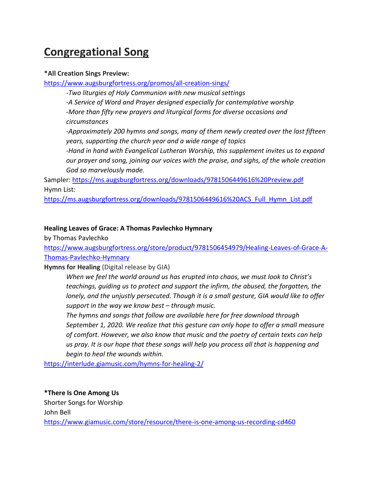# **Congregational Song**

#### **\*All Creation Sings Preview:**

https://www.augsburgfortress.org/promos/all-creation-sings/

*-Two liturgies of Holy Communion with new musical settings -A Service of Word and Prayer designed especially for contemplative worship -More than fifty new prayers and liturgical forms for diverse occasions and circumstances*

*-Approximately 200 hymns and songs, many of them newly created over the last fifteen years, supporting the church year and a wide range of topics*

*-Hand in hand with Evangelical Lutheran Worship, this supplement invites us to expand our prayer and song, joining our voices with the praise, and sighs, of the whole creation God so marvelously made.*

Sampler: https://ms.augsburgfortress.org/downloads/9781506449616%20Preview.pdf Hymn List:

https://ms.augsburgfortress.org/downloads/9781506449616%20ACS\_Full\_Hymn\_List.pdf

## **Healing Leaves of Grace: A Thomas Pavlechko Hymnary**

by Thomas Pavlechko

https://www.augsburgfortress.org/store/product/9781506454979/Healing-Leaves-of-Grace-A-Thomas-Pavlechko-Hymnary

**Hymns for Healing** (Digital release by GIA)

*When we feel the world around us has erupted into chaos, we must look to Christ's teachings, guiding us to protect and support the infirm, the abused, the forgotten, the lonely, and the unjustly persecuted. Though it is a small gesture, GIA would like to offer support in the way we know best – through music.*

*The hymns and songs that follow are available here for free download through September 1, 2020. We realize that this gesture can only hope to offer a small measure of comfort. However, we also know that music and the poetry of certain texts can help us pray. It is our hope that these songs will help you process all that is happening and begin to heal the wounds within.*

https://interlude.giamusic.com/hymns-for-healing-2/

**\*There Is One Among Us** Shorter Songs for Worship John Bell https://www.giamusic.com/store/resource/there-is-one-among-us-recording-cd460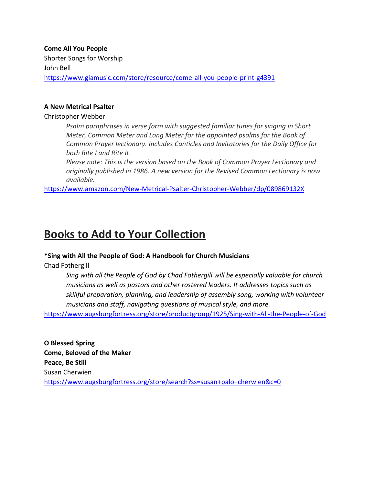**Come All You People** Shorter Songs for Worship John Bell https://www.giamusic.com/store/resource/come-all-you-people-print-g4391

#### **A New Metrical Psalter**

Christopher Webber

*Psalm paraphrases in verse form with suggested familiar tunes for singing in Short Meter, Common Meter and Long Meter for the appointed psalms for the Book of Common Prayer lectionary. Includes Canticles and Invitatories for the Daily Office for both Rite I and Rite II.*

*Please note: This is the version based on the Book of Common Prayer Lectionary and originally published in 1986. A new version for the Revised Common Lectionary is now available.*

https://www.amazon.com/New-Metrical-Psalter-Christopher-Webber/dp/089869132X

## **Books to Add to Your Collection**

#### **\*Sing with All the People of God: A Handbook for Church Musicians**

Chad Fothergill

*Sing with all the People of God by Chad Fothergill will be especially valuable for church musicians as well as pastors and other rostered leaders. It addresses topics such as skillful preparation, planning, and leadership of assembly song, working with volunteer musicians and staff, navigating questions of musical style, and more.*

https://www.augsburgfortress.org/store/productgroup/1925/Sing-with-All-the-People-of-God

**O Blessed Spring Come, Beloved of the Maker Peace, Be Still** Susan Cherwien https://www.augsburgfortress.org/store/search?ss=susan+palo+cherwien&c=0